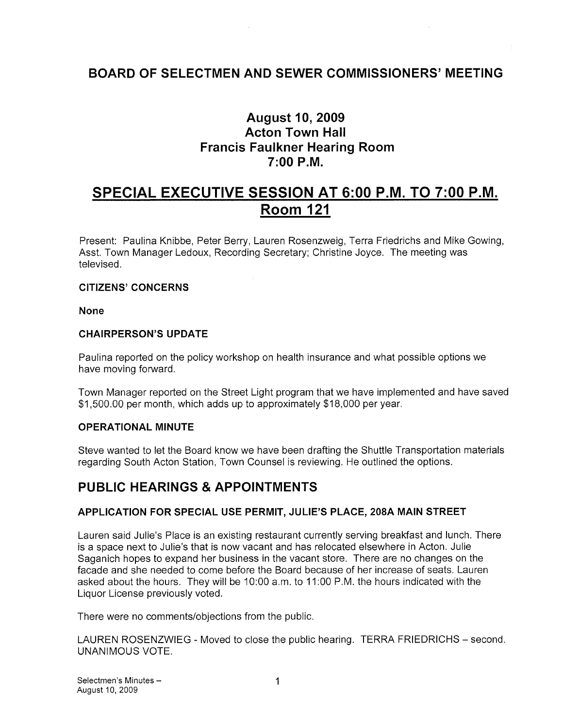# BOARD OF SELECTMEN AND SEWER COMMISSIONERS' MEETING

# August 10, 2009 Acton Town Hall Francis Faulkner Hearing Room 7:00 P.M.

# SPECIAL EXECUTIVE SESSION AT 6:00 P.M. TO 7:00 P.M. Room 121

Present: Paulina Knibbe, Peter Berry, Lauren Rosenzweig, Terra Friedrichs and Mike Gowing, Asst. Town Manager Ledoux, Recording Secretary; Christine Joyce. The meeting was televised.

## CITIZENS' CONCERNS

None

## CHAIRPERSON'S UPDATE

Paulina reported on the policy workshop on health insurance and what possible options we have moving forward.

Town Manager reported on the Street Light program that we have implemented and have saved \$1,500.00 per month, which adds up to approximately \$18,000 per year.

## OPERATIONAL MINUTE

Steve wanted to let the Board know we have been drafting the Shuttle Transportation materials regarding South Acton Station, Town Counsel is reviewing. He outlined the options.

# PUBLIC HEARINGS & APPOINTMENTS

## APPLICATION FOR SPECIAL USE PERMIT, JULIE'S PLACE, 208A MAIN STREET

Lauren said Julie's Place is an existing restaurant currently serving breakfast and lunch. There is a space next to Julie's that is now vacant and has relocated elsewhere in Acton. Julie Saganich hopes to expand her business in the vacant store. There are no changes on the facade and she needed to come before the Board because of her increase of seats. Lauren asked about the hours. They will be 10:00 am. to 11:00 P.M. the hours indicated with the Liquor License previously voted.

There were no comments/objections from the public.

LAUREN ROSENZWIEG - Moved to close the public hearing. TERRA FRIEDRICHS — second. UNANIMOUS VOTE.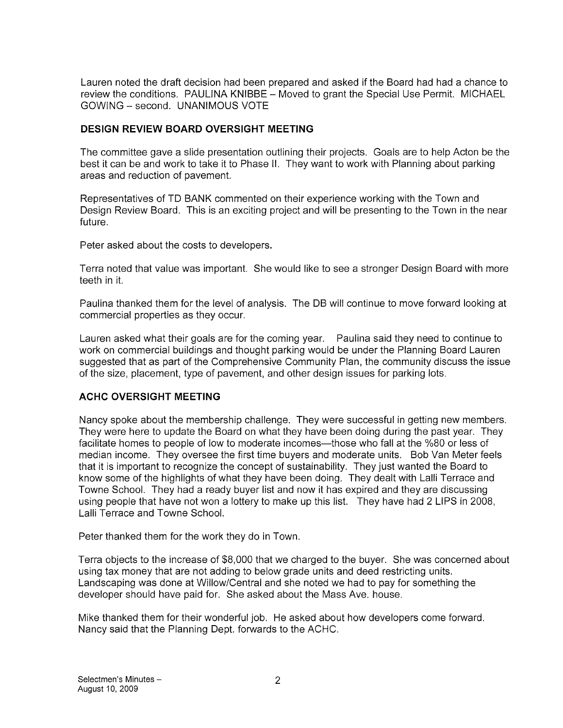Lauren noted the draft decision had been prepared and asked if the Board had had a chance to review the conditions. PAULINA KNIBBE — Moved to grant the Special Use Permit. MICHAEL GOWING — second. UNANIMOUS VOTE

## DESIGN REVIEW BOARD OVERSIGHT MEETING

The committee gave a slide presentation outlining their projects. Goals are to help Acton be the best it can be and work to take it to Phase II. They want to work with Planning about parking areas and reduction of pavement.

Representatives of TD BANK commented on their experience working with the Town and Design Review Board. This is an exciting project and will be presenting to the Town in the near future.

Peter asked about the costs to developers.

Terra noted that value was important. She would like to see a stronger Design Board with more teeth in it.

Paulina thanked them for the level of analysis. The DB will continue to move forward looking at commercial properties as they occur.

Lauren asked what their goals are for the coming year. Paulina said they need to continue to work on commercial buildings and thought parking would be under the Planning Board Lauren suggested that as part of the Comprehensive Community Plan, the community discuss the issue of the size, placement, type of pavement, and other design issues for parking lots.

## ACHC OVERSIGHT MEETING

Nancy spoke about the membership challenge. They were successful in getting new members. They were here to update the Board on what they have been doing during the past year. They facilitate homes to people of low to moderate incomes—those who fall at the %80 or less of median income. They oversee the first time buyers and moderate units. Bob Van Meter feels that it is important to recognize the concept of sustainability. They just wanted the Board to know some of the highlights of what they have been doing. They dealt with Lalli Terrace and Towne School. They had a ready buyer list and now it has expired and they are discussing using people that have not won a lottery to make up this list. They have had 2 LIPS in 2008, Lalli Terrace and Towne School.

Peter thanked them for the work they do in Town.

Terra objects to the increase of \$8,000 that we charged to the buyer. She was concerned about using tax money that are not adding to below grade units and deed restricting units. Landscaping was done at Willow/Central and she noted we had to pay for something the developer should have paid for. She asked about the Mass Ave. house.

Mike thanked them for their wonderful job. He asked about how developers come forward. Nancy said that the Planning Dept. forwards to the ACHC.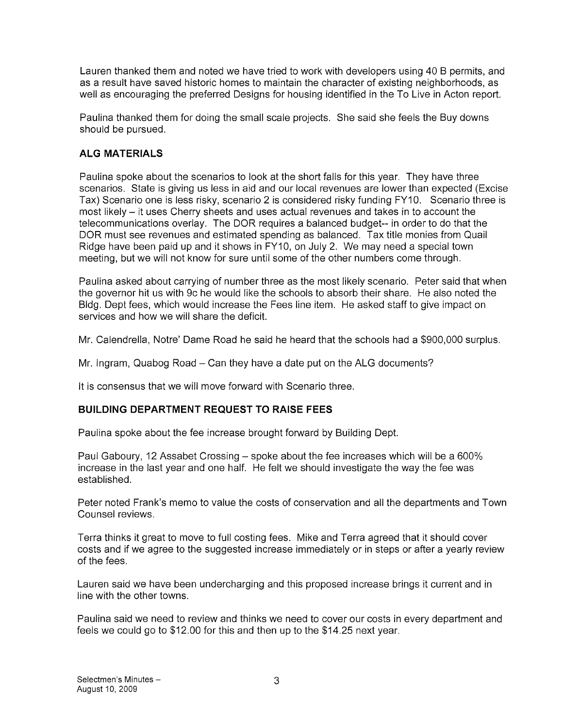Lauren thanked them and noted we have tried to work with developers using 40 <sup>B</sup> permits, and as a result have saved historic homes to maintain the character of existing neighborhoods, as well as encouraging the preferred Designs for housing identified in the To Live in Acton report.

Paulina thanked them for doing the small scale projects. She said she feels the Buy downs should be pursued.

# ALG MATERIALS

Paulina spoke about the scenarios to look at the short falls for this year. They have three scenarios. State is giving us less in aid and our local revenues are lower than expected (Excise Tax) Scenario one is less risky, scenario 2 is considered risky funding FY10. Scenario three is most likely — it uses Cherry sheets and uses actual revenues and takes in to account the telecommunications overlay. The DOR requires a balanced budget-- in order to do that the DOR must see revenues and estimated spending as balanced. Tax title monies from Quail Ridge have been paid up and it shows in FY10, on July 2. We may need a special town meeting, but we will not know for sure until some of the other numbers come through.

Paulina asked about carrying of number three as the most likely scenario, Peter said that when the governor hit us with 9c he would like the schools to absorb their share. He also noted the Bldg. Dept fees, which would increase the Fees line item. He asked staff to give impact on services and how we will share the deficit.

Mr. Calendrella, Notre' Dame Road he said he heard that the schools had a \$900,000 surplus.

Mr. Ingram, Quabog Road — Can they have a date put on the ALG documents?

It is consensus that we will move forward with Scenario three.

## BUILDING DEPARTMENT REQUEST TO RAISE FEES

Paulina spoke about the fee increase brought forward by Building Dept.

Paul Gaboury, 12 Assabet Crossing — spoke about the fee increases which will be a 600% increase in the last year and one half. He felt we should investigate the way the fee was established.

Peter noted Frank's memo to value the costs of conservation and all the departments and Town Counsel reviews.

Terra thinks it great to move to full costing fees. Mike and Terra agreed that it should cover costs and if we agree to the suggested increase immediately or in steps or after a yearly review of the fees.

Lauren said we have been undercharging and this proposed increase brings it current and in line with the other towns.

Paulina said we need to review and thinks we need to cover our costs in every department and feels we could go to \$12.00 for this and then up to the \$14.25 next year.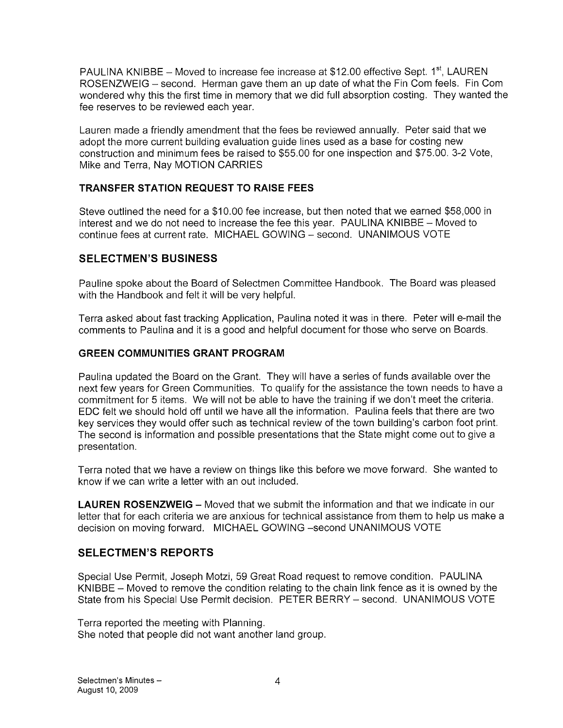PAULINA KNIBBE – Moved to increase fee increase at \$12.00 effective Sept.  $1<sup>st</sup>$ , LAUREN ROSENZWEIG – second. Herman gave them an up date of what the Fin Com feels. Fin Com wondered why this the first time in memory that we did full absorption costing. They wanted the fee reserves to be reviewed each year.

Lauren made a friendly amendment that the fees be reviewed annually. Peter said that we adopt the more current building evaluation guide lines used as a base for costing new construction and minimum fees be raised to \$55.00 for one inspection and \$75.00. 3-2 Vote, Mike and Terra, Nay MOTION CARRIES

# TRANSFER STATION REQUEST TO RAISE FEES

Steve outlined the need for a \$10.00 fee increase, but then noted that we earned \$58,000 in interest and we do not need to increase the fee this year. PAULINA KNIBBE — Moved to continue fees at current rate. MICHAEL GOWING — second. UNANIMOUS VOTE

# SELECTMEN'S BUSINESS

Pauline spoke about the Board of Selectmen Committee Handbook. The Board was pleased with the Handbook and felt it will be very helpful.

Terra asked about fast tracking Application, Paulina noted it was in there. Peter will e-mail the comments to Paulina and it is a good and helpful document for those who serve on Boards.

# GREEN COMMUNITIES GRANT PROGRAM

Paulina updated the Board on the Grant. They will have a series of funds available over the next few years for Green Communities. To qualify for the assistance the town needs to have a commitment for 5 items. We will not be able to have the training if we don't meet the criteria. EDC felt we should hold off until we have all the information. Paulina feels that there are two key services they would offer such as technical review of the town building's carbon foot print. The second is information and possible presentations that the State might come out to give a presentation.

Terra noted that we have a review on things like this before we move forward. She wanted to know if we can write a letter with an out included.

LAUREN ROSENZWEIG — Moved that we submit the information and that we indicate in our letter that for each criteria we are anxious for technical assistance from them to help us make a decision on moving forward. MICHAEL GOWING —second UNANIMOUS VOTE

# SELECTMEN'S REPORTS

Special Use Permit, Joseph Motzi, 59 Great Road request to remove condition. PAULINA KNIBBE — Moved to remove the condition relating to the chain link fence as it is owned by the State from his Special Use Permit decision. PETER BERRY — second. UNANIMOUS VOTE

Terra reported the meeting with Planning. She noted that people did not want another land group.